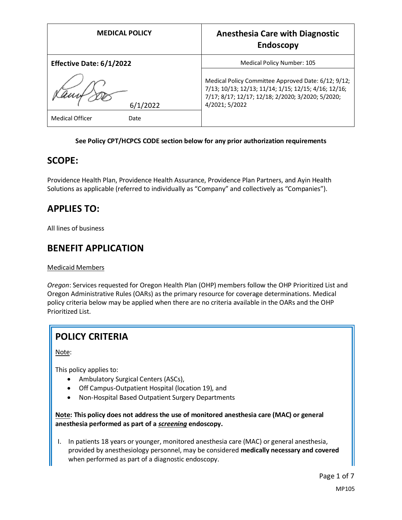| <b>MEDICAL POLICY</b>          | <b>Anesthesia Care with Diagnostic</b><br><b>Endoscopy</b>                                                                                                                         |
|--------------------------------|------------------------------------------------------------------------------------------------------------------------------------------------------------------------------------|
| Effective Date: 6/1/2022       | Medical Policy Number: 105                                                                                                                                                         |
| 6/1/2022                       | Medical Policy Committee Approved Date: 6/12; 9/12;<br>7/13; 10/13; 12/13; 11/14; 1/15; 12/15; 4/16; 12/16;<br>7/17; 8/17; 12/17; 12/18; 2/2020; 3/2020; 5/2020;<br>4/2021; 5/2022 |
| <b>Medical Officer</b><br>Date |                                                                                                                                                                                    |

### **See Policy CPT/HCPCS CODE section below for any prior authorization requirements**

### **SCOPE:**

Providence Health Plan, Providence Health Assurance, Providence Plan Partners, and Ayin Health Solutions as applicable (referred to individually as "Company" and collectively as "Companies").

## **APPLIES TO:**

All lines of business

## **BENEFIT APPLICATION**

Medicaid Members

*Oregon*: Services requested for Oregon Health Plan (OHP) members follow the OHP Prioritized List and Oregon Administrative Rules (OARs) as the primary resource for coverage determinations. Medical policy criteria below may be applied when there are no criteria available in the OARs and the OHP Prioritized List.

# **POLICY CRITERIA**

Note:

This policy applies to:

- Ambulatory Surgical Centers (ASCs),
- Off Campus-Outpatient Hospital (location 19), and
- Non-Hospital Based Outpatient Surgery Departments

**Note: This policy does not address the use of monitored anesthesia care (MAC) or general anesthesia performed as part of a** *screening* **endoscopy.**

I. In patients 18 years or younger, monitored anesthesia care (MAC) or general anesthesia, provided by anesthesiology personnel, may be considered **medically necessary and covered** when performed as part of a diagnostic endoscopy.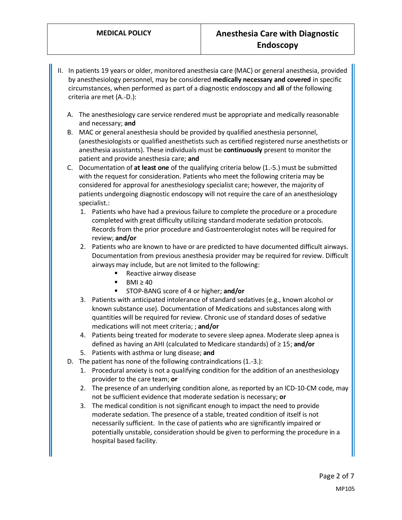- II. In patients 19 years or older, monitored anesthesia care (MAC) or general anesthesia, provided by anesthesiology personnel, may be considered **medically necessary and covered** in specific circumstances, when performed as part of a diagnostic endoscopy and **all** of the following criteria are met (A.-D.):
	- A. The anesthesiology care service rendered must be appropriate and medically reasonable and necessary; **and**
	- B. MAC or general anesthesia should be provided by qualified anesthesia personnel, (anesthesiologists or qualified anesthetists such as certified registered nurse anesthetists or anesthesia assistants). These individuals must be **continuously** present to monitor the patient and provide anesthesia care; **and**
	- C. Documentation of **at least one** of the qualifying criteria below (1.-5.) must be submitted with the request for consideration. Patients who meet the following criteria may be considered for approval for anesthesiology specialist care; however, the majority of patients undergoing diagnostic endoscopy will not require the care of an anesthesiology specialist.:
		- 1. Patients who have had a previous failure to complete the procedure or a procedure completed with great difficulty utilizing standard moderate sedation protocols. Records from the prior procedure and Gastroenterologist notes will be required for review; **and/or**
		- 2. Patients who are known to have or are predicted to have documented difficult airways. Documentation from previous anesthesia provider may be required for review. Difficult airways may include, but are not limited to the following:
			- Reactive airway disease
			- BMI  $\geq 40$
			- STOP-BANG score of 4 or higher; **and/or**
		- 3. Patients with anticipated intolerance of standard sedatives (e.g., known alcohol or known substance use). Documentation of Medications and substances along with quantities will be required for review. Chronic use of standard doses of sedative medications will not meet criteria; ; **and/or**
		- 4. Patients being treated for moderate to severe sleep apnea. Moderate sleep apnea is defined as having an AHI (calculated to Medicare standards) of ≥ 15; **and/or**
		- 5. Patients with asthma or lung disease; **and**
	- D. The patient has none of the following contraindications (1.-3.):
		- 1. Procedural anxiety is not a qualifying condition for the addition of an anesthesiology provider to the care team; **or**
		- 2. The presence of an underlying condition alone, as reported by an ICD-10-CM code, may not be sufficient evidence that moderate sedation is necessary; **or**
		- 3. The medical condition is not significant enough to impact the need to provide moderate sedation. The presence of a stable, treated condition of itself is not necessarily sufficient. In the case of patients who are significantly impaired or potentially unstable, consideration should be given to performing the procedure in a hospital based facility.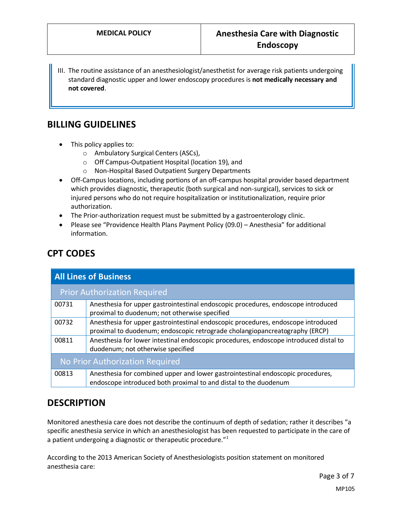III. The routine assistance of an anesthesiologist/anesthetist for average risk patients undergoing standard diagnostic upper and lower endoscopy procedures is **not medically necessary and not covered**.

## **BILLING GUIDELINES**

- This policy applies to:
	- o Ambulatory Surgical Centers (ASCs),
	- o Off Campus-Outpatient Hospital (location 19), and
	- o Non-Hospital Based Outpatient Surgery Departments
- Off-Campus locations, including portions of an off-campus hospital provider based department which provides diagnostic, therapeutic (both surgical and non-surgical), services to sick or injured persons who do not require hospitalization or institutionalization, require prior authorization.
- The Prior-authorization request must be submitted by a gastroenterology clinic.
- Please see "Providence Health Plans Payment Policy (09.0) Anesthesia" for additional information.

# **CPT CODES**

| <b>All Lines of Business</b>        |                                                                                                                                                                  |
|-------------------------------------|------------------------------------------------------------------------------------------------------------------------------------------------------------------|
| <b>Prior Authorization Required</b> |                                                                                                                                                                  |
| 00731                               | Anesthesia for upper gastrointestinal endoscopic procedures, endoscope introduced<br>proximal to duodenum; not otherwise specified                               |
| 00732                               | Anesthesia for upper gastrointestinal endoscopic procedures, endoscope introduced<br>proximal to duodenum; endoscopic retrograde cholangiopancreatography (ERCP) |
| 00811                               | Anesthesia for lower intestinal endoscopic procedures, endoscope introduced distal to<br>duodenum; not otherwise specified                                       |
| No Prior Authorization Required     |                                                                                                                                                                  |
| 00813                               | Anesthesia for combined upper and lower gastrointestinal endoscopic procedures,<br>endoscope introduced both proximal to and distal to the duodenum              |

## **DESCRIPTION**

Monitored anesthesia care does not describe the continuum of depth of sedation; rather it describes "a specific anesthesia service in which an anesthesiologist has been requested to participate in the care of a patient undergoing a diagnostic or therapeutic procedure."<sup>1</sup>

According to the 2013 American Society of Anesthesiologists position statement on monitored anesthesia care: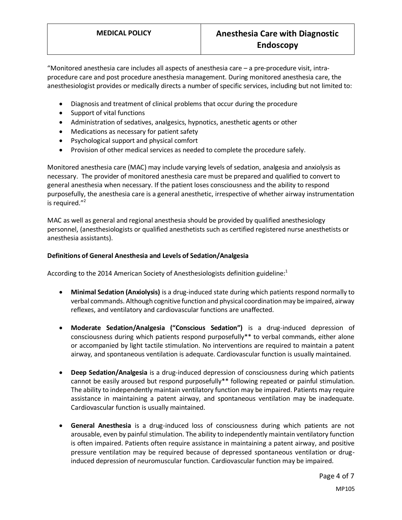"Monitored anesthesia care includes all aspects of anesthesia care – a pre-procedure visit, intraprocedure care and post procedure anesthesia management. During monitored anesthesia care, the anesthesiologist provides or medically directs a number of specific services, including but not limited to:

- Diagnosis and treatment of clinical problems that occur during the procedure
- Support of vital functions
- Administration of sedatives, analgesics, hypnotics, anesthetic agents or other
- Medications as necessary for patient safety
- Psychological support and physical comfort
- Provision of other medical services as needed to complete the procedure safely.

Monitored anesthesia care (MAC) may include varying levels of sedation, analgesia and anxiolysis as necessary. The provider of monitored anesthesia care must be prepared and qualified to convert to general anesthesia when necessary. If the patient loses consciousness and the ability to respond purposefully, the anesthesia care is a general anesthetic, irrespective of whether airway instrumentation is required. $"^2$ 

MAC as well as general and regional anesthesia should be provided by qualified anesthesiology personnel, (anesthesiologists or qualified anesthetists such as certified registered nurse anesthetists or anesthesia assistants).

#### **Definitions of General Anesthesia and Levels of Sedation/Analgesia**

According to the 2014 American Society of Anesthesiologists definition guideline:<sup>1</sup>

- **Minimal Sedation (Anxiolysis)** is a drug-induced state during which patients respond normally to verbal commands. Although cognitive function and physical coordination may be impaired, airway reflexes, and ventilatory and cardiovascular functions are unaffected.
- **Moderate Sedation/Analgesia ("Conscious Sedation")** is a drug-induced depression of consciousness during which patients respond purposefully\*\* to verbal commands, either alone or accompanied by light tactile stimulation. No interventions are required to maintain a patent airway, and spontaneous ventilation is adequate. Cardiovascular function is usually maintained.
- **Deep Sedation/Analgesia** is a drug-induced depression of consciousness during which patients cannot be easily aroused but respond purposefully\*\* following repeated or painful stimulation. The ability to independently maintain ventilatory function may be impaired. Patients may require assistance in maintaining a patent airway, and spontaneous ventilation may be inadequate. Cardiovascular function is usually maintained.
- **General Anesthesia** is a drug-induced loss of consciousness during which patients are not arousable, even by painful stimulation. The ability to independently maintain ventilatory function is often impaired. Patients often require assistance in maintaining a patent airway, and positive pressure ventilation may be required because of depressed spontaneous ventilation or druginduced depression of neuromuscular function. Cardiovascular function may be impaired.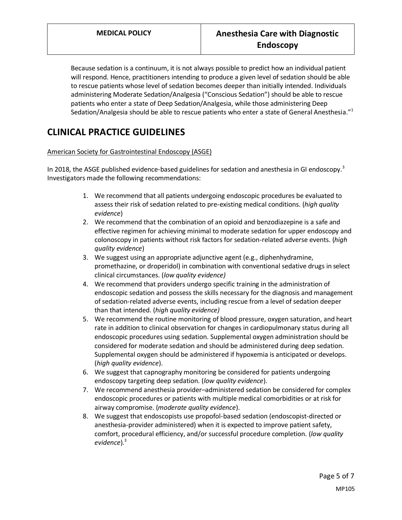Because sedation is a continuum, it is not always possible to predict how an individual patient will respond. Hence, practitioners intending to produce a given level of sedation should be able to rescue patients whose level of sedation becomes deeper than initially intended. Individuals administering Moderate Sedation/Analgesia ("Conscious Sedation") should be able to rescue patients who enter a state of Deep Sedation/Analgesia, while those administering Deep Sedation/Analgesia should be able to rescue patients who enter a state of General Anesthesia." $1$ 

# **CLINICAL PRACTICE GUIDELINES**

### American Society for Gastrointestinal Endoscopy (ASGE)

In 2018, the ASGE published evidence-based guidelines for sedation and anesthesia in GI endoscopy.<sup>3</sup> Investigators made the following recommendations:

- 1. We recommend that all patients undergoing endoscopic procedures be evaluated to assess their risk of sedation related to pre-existing medical conditions. (*high quality evidence*)
- 2. We recommend that the combination of an opioid and benzodiazepine is a safe and effective regimen for achieving minimal to moderate sedation for upper endoscopy and colonoscopy in patients without risk factors for sedation-related adverse events. (*high quality evidence*)
- 3. We suggest using an appropriate adjunctive agent (e.g., diphenhydramine, promethazine, or droperidol) in combination with conventional sedative drugs in select clinical circumstances. (*low quality evidence)*
- 4. We recommend that providers undergo specific training in the administration of endoscopic sedation and possess the skills necessary for the diagnosis and management of sedation-related adverse events, including rescue from a level of sedation deeper than that intended. (*high quality evidence)*
- 5. We recommend the routine monitoring of blood pressure, oxygen saturation, and heart rate in addition to clinical observation for changes in cardiopulmonary status during all endoscopic procedures using sedation. Supplemental oxygen administration should be considered for moderate sedation and should be administered during deep sedation. Supplemental oxygen should be administered if hypoxemia is anticipated or develops. (*high quality evidence*).
- 6. We suggest that capnography monitoring be considered for patients undergoing endoscopy targeting deep sedation. (*low quality evidence*).
- 7. We recommend anesthesia provider–administered sedation be considered for complex endoscopic procedures or patients with multiple medical comorbidities or at risk for airway compromise. (*moderate quality evidence*).
- 8. We suggest that endoscopists use propofol-based sedation (endoscopist-directed or anesthesia-provider administered) when it is expected to improve patient safety, comfort, procedural efficiency, and/or successful procedure completion. (*low quality evidence*).<sup>3</sup>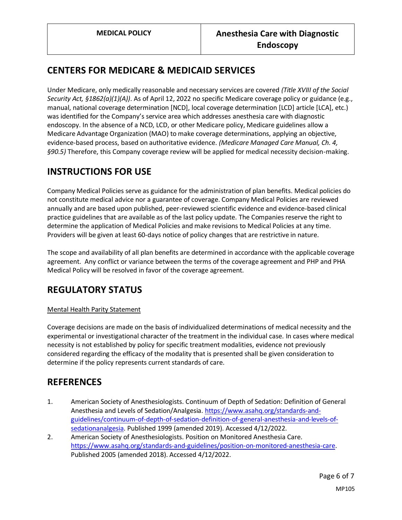# **CENTERS FOR MEDICARE & MEDICAID SERVICES**

Under Medicare, only medically reasonable and necessary services are covered *(Title XVIII of the Social Security Act, §1862(a)(1)(A))*. As of April 12, 2022 no specific Medicare coverage policy or guidance (e.g., manual, national coverage determination [NCD], local coverage determination [LCD] article [LCA], etc.) was identified for the Company's service area which addresses anesthesia care with diagnostic endoscopy. In the absence of a NCD, LCD, or other Medicare policy, Medicare guidelines allow a Medicare Advantage Organization (MAO) to make coverage determinations, applying an objective, evidence-based process, based on authoritative evidence. *(Medicare Managed Care Manual, Ch. 4, §90.5)* Therefore, this Company coverage review will be applied for medical necessity decision-making.

## **INSTRUCTIONS FOR USE**

Company Medical Policies serve as guidance for the administration of plan benefits. Medical policies do not constitute medical advice nor a guarantee of coverage. Company Medical Policies are reviewed annually and are based upon published, peer-reviewed scientific evidence and evidence-based clinical practice guidelines that are available as of the last policy update. The Companies reserve the right to determine the application of Medical Policies and make revisions to Medical Policies at any time. Providers will be given at least 60-days notice of policy changes that are restrictive in nature.

The scope and availability of all plan benefits are determined in accordance with the applicable coverage agreement. Any conflict or variance between the terms of the coverage agreement and PHP and PHA Medical Policy will be resolved in favor of the coverage agreement.

# **REGULATORY STATUS**

### Mental Health Parity Statement

Coverage decisions are made on the basis of individualized determinations of medical necessity and the experimental or investigational character of the treatment in the individual case. In cases where medical necessity is not established by policy for specific treatment modalities, evidence not previously considered regarding the efficacy of the modality that is presented shall be given consideration to determine if the policy represents current standards of care.

## **REFERENCES**

- 1. American Society of Anesthesiologists. Continuum of Depth of Sedation: Definition of General Anesthesia and Levels of Sedation/Analgesia. [https://www.asahq.org/standards-and](https://www.asahq.org/standards-and-guidelines/continuum-of-depth-of-sedation-definition-of-general-anesthesia-and-levels-of-sedationanalgesia)[guidelines/continuum-of-depth-of-sedation-definition-of-general-anesthesia-and-levels-of](https://www.asahq.org/standards-and-guidelines/continuum-of-depth-of-sedation-definition-of-general-anesthesia-and-levels-of-sedationanalgesia)[sedationanalgesia.](https://www.asahq.org/standards-and-guidelines/continuum-of-depth-of-sedation-definition-of-general-anesthesia-and-levels-of-sedationanalgesia) Published 1999 (amended 2019). Accessed 4/12/2022.
- 2. American Society of Anesthesiologists. Position on Monitored Anesthesia Care. [https://www.asahq.org/standards-and-guidelines/position-on-monitored-anesthesia-care.](https://www.asahq.org/standards-and-guidelines/position-on-monitored-anesthesia-care) Published 2005 (amended 2018). Accessed 4/12/2022.